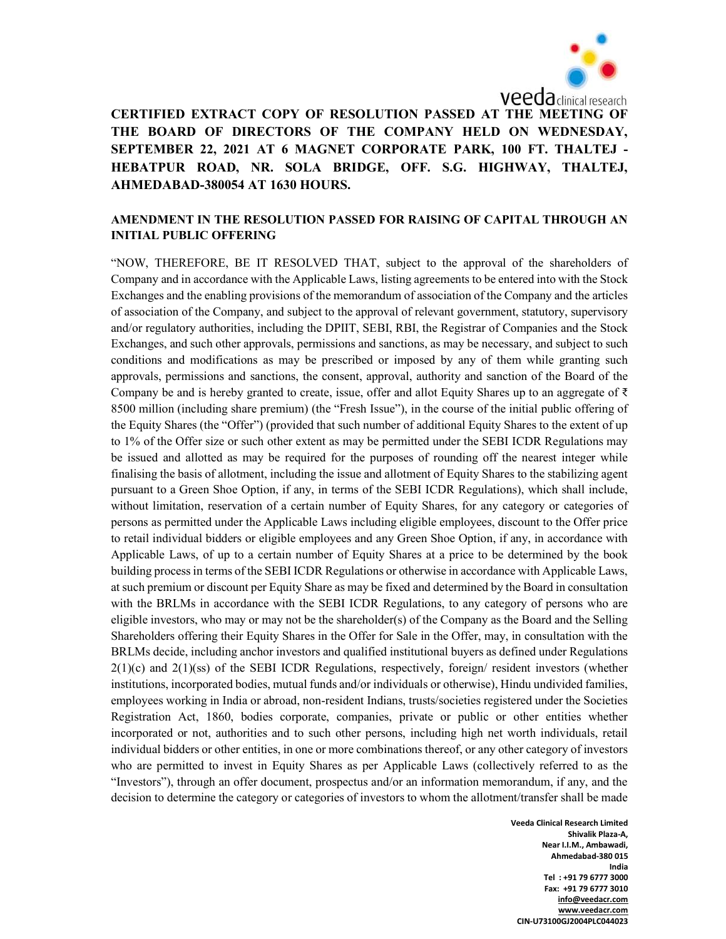

CERTIFIED EXTRACT COPY OF RESOLUTION PASSED AT THE MEETING OF THE BOARD OF DIRECTORS OF THE COMPANY HELD ON WEDNESDAY, SEPTEMBER 22, 2021 AT 6 MAGNET CORPORATE PARK, 100 FT. THALTEJ - HEBATPUR ROAD, NR. SOLA BRIDGE, OFF. S.G. HIGHWAY, THALTEJ, AHMEDABAD-380054 AT 1630 HOURS.

## AMENDMENT IN THE RESOLUTION PASSED FOR RAISING OF CAPITAL THROUGH AN INITIAL PUBLIC OFFERING

"NOW, THEREFORE, BE IT RESOLVED THAT, subject to the approval of the shareholders of Company and in accordance with the Applicable Laws, listing agreements to be entered into with the Stock Exchanges and the enabling provisions of the memorandum of association of the Company and the articles of association of the Company, and subject to the approval of relevant government, statutory, supervisory and/or regulatory authorities, including the DPIIT, SEBI, RBI, the Registrar of Companies and the Stock Exchanges, and such other approvals, permissions and sanctions, as may be necessary, and subject to such conditions and modifications as may be prescribed or imposed by any of them while granting such approvals, permissions and sanctions, the consent, approval, authority and sanction of the Board of the Company be and is hereby granted to create, issue, offer and allot Equity Shares up to an aggregate of  $\bar{\tau}$ 8500 million (including share premium) (the "Fresh Issue"), in the course of the initial public offering of the Equity Shares (the "Offer") (provided that such number of additional Equity Shares to the extent of up to 1% of the Offer size or such other extent as may be permitted under the SEBI ICDR Regulations may be issued and allotted as may be required for the purposes of rounding off the nearest integer while finalising the basis of allotment, including the issue and allotment of Equity Shares to the stabilizing agent pursuant to a Green Shoe Option, if any, in terms of the SEBI ICDR Regulations), which shall include, without limitation, reservation of a certain number of Equity Shares, for any category or categories of persons as permitted under the Applicable Laws including eligible employees, discount to the Offer price to retail individual bidders or eligible employees and any Green Shoe Option, if any, in accordance with Applicable Laws, of up to a certain number of Equity Shares at a price to be determined by the book building process in terms of the SEBI ICDR Regulations or otherwise in accordance with Applicable Laws, at such premium or discount per Equity Share as may be fixed and determined by the Board in consultation with the BRLMs in accordance with the SEBI ICDR Regulations, to any category of persons who are eligible investors, who may or may not be the shareholder(s) of the Company as the Board and the Selling Shareholders offering their Equity Shares in the Offer for Sale in the Offer, may, in consultation with the BRLMs decide, including anchor investors and qualified institutional buyers as defined under Regulations  $2(1)(c)$  and  $2(1)(ss)$  of the SEBI ICDR Regulations, respectively, foreign/ resident investors (whether institutions, incorporated bodies, mutual funds and/or individuals or otherwise), Hindu undivided families, employees working in India or abroad, non-resident Indians, trusts/societies registered under the Societies Registration Act, 1860, bodies corporate, companies, private or public or other entities whether incorporated or not, authorities and to such other persons, including high net worth individuals, retail individual bidders or other entities, in one or more combinations thereof, or any other category of investors who are permitted to invest in Equity Shares as per Applicable Laws (collectively referred to as the "Investors"), through an offer document, prospectus and/or an information memorandum, if any, and the decision to determine the category or categories of investors to whom the allotment/transfer shall be made

> Veeda Clinical Research Limited Shivalik Plaza-A, Near I.I.M., Ambawadi, Ahmedabad-380 015 India Tel : +91 79 6777 3000 Fax: +91 79 6777 3010 info@veedacr.com www.veedacr.com CIN-U73100GJ2004PLC044023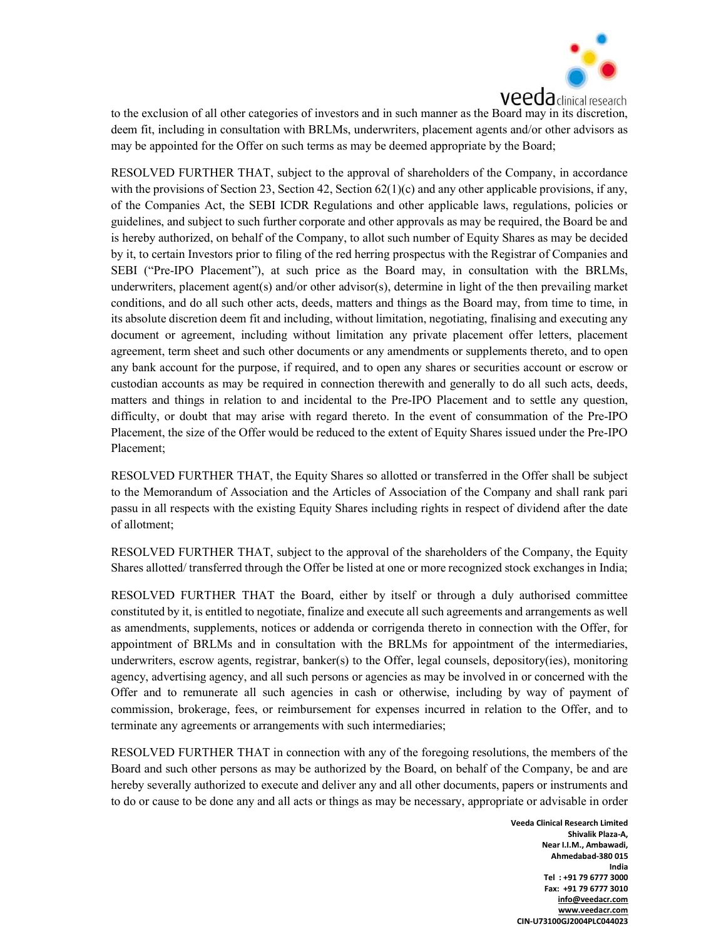

to the exclusion of all other categories of investors and in such manner as the Board may in its discretion, deem fit, including in consultation with BRLMs, underwriters, placement agents and/or other advisors as may be appointed for the Offer on such terms as may be deemed appropriate by the Board;

RESOLVED FURTHER THAT, subject to the approval of shareholders of the Company, in accordance with the provisions of Section 23, Section 42, Section  $62(1)(c)$  and any other applicable provisions, if any, of the Companies Act, the SEBI ICDR Regulations and other applicable laws, regulations, policies or guidelines, and subject to such further corporate and other approvals as may be required, the Board be and is hereby authorized, on behalf of the Company, to allot such number of Equity Shares as may be decided by it, to certain Investors prior to filing of the red herring prospectus with the Registrar of Companies and SEBI ("Pre-IPO Placement"), at such price as the Board may, in consultation with the BRLMs, underwriters, placement agent(s) and/or other advisor(s), determine in light of the then prevailing market conditions, and do all such other acts, deeds, matters and things as the Board may, from time to time, in its absolute discretion deem fit and including, without limitation, negotiating, finalising and executing any document or agreement, including without limitation any private placement offer letters, placement agreement, term sheet and such other documents or any amendments or supplements thereto, and to open any bank account for the purpose, if required, and to open any shares or securities account or escrow or custodian accounts as may be required in connection therewith and generally to do all such acts, deeds, matters and things in relation to and incidental to the Pre-IPO Placement and to settle any question, difficulty, or doubt that may arise with regard thereto. In the event of consummation of the Pre-IPO Placement, the size of the Offer would be reduced to the extent of Equity Shares issued under the Pre-IPO Placement;

RESOLVED FURTHER THAT, the Equity Shares so allotted or transferred in the Offer shall be subject to the Memorandum of Association and the Articles of Association of the Company and shall rank pari passu in all respects with the existing Equity Shares including rights in respect of dividend after the date of allotment;

RESOLVED FURTHER THAT, subject to the approval of the shareholders of the Company, the Equity Shares allotted/ transferred through the Offer be listed at one or more recognized stock exchanges in India;

RESOLVED FURTHER THAT the Board, either by itself or through a duly authorised committee constituted by it, is entitled to negotiate, finalize and execute all such agreements and arrangements as well as amendments, supplements, notices or addenda or corrigenda thereto in connection with the Offer, for appointment of BRLMs and in consultation with the BRLMs for appointment of the intermediaries, underwriters, escrow agents, registrar, banker(s) to the Offer, legal counsels, depository(ies), monitoring agency, advertising agency, and all such persons or agencies as may be involved in or concerned with the Offer and to remunerate all such agencies in cash or otherwise, including by way of payment of commission, brokerage, fees, or reimbursement for expenses incurred in relation to the Offer, and to terminate any agreements or arrangements with such intermediaries;

RESOLVED FURTHER THAT in connection with any of the foregoing resolutions, the members of the Board and such other persons as may be authorized by the Board, on behalf of the Company, be and are hereby severally authorized to execute and deliver any and all other documents, papers or instruments and to do or cause to be done any and all acts or things as may be necessary, appropriate or advisable in order

> Veeda Clinical Research Limited Shivalik Plaza-A, Near I.I.M., Ambawadi, Ahmedabad-380 015 India Tel : +91 79 6777 3000 Fax: +91 79 6777 3010 info@veedacr.com www.veedacr.com CIN-U73100GJ2004PLC044023